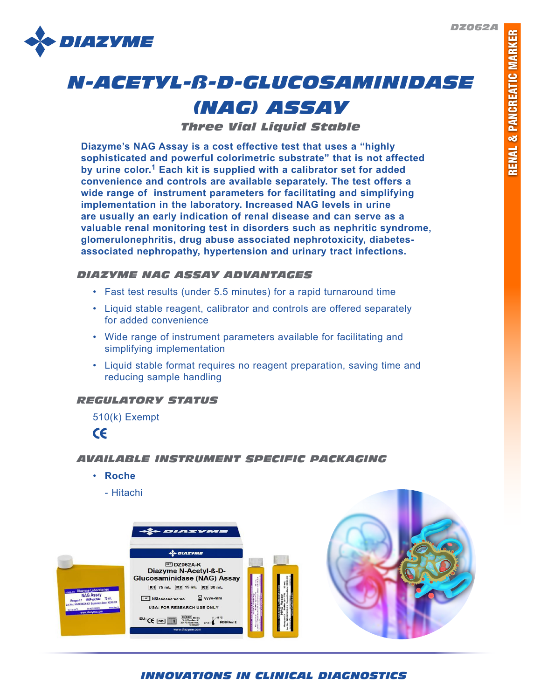*DZ062A*



# *N-ACETYL-ß-D-GLUCOSAMINIDASE*

# *(NAG) ASSAY*

*Three Vial Liquid Stable*

**Diazyme's NAG Assay is a cost effective test that uses a "highly sophisticated and powerful colorimetric substrate" that is not affected by urine color.1 Each kit is supplied with a calibrator set for added convenience and controls are available separately. The test offers a wide range of instrument parameters for facilitating and simplifying implementation in the laboratory. Increased NAG levels in urine are usually an early indication of renal disease and can serve as a valuable renal monitoring test in disorders such as nephritic syndrome, glomerulonephritis, drug abuse associated nephrotoxicity, diabetesassociated nephropathy, hypertension and urinary tract infections.**

# *DIAZYME NAG ASSAY ADVANTAGES*

- Fast test results (under 5.5 minutes) for a rapid turnaround time
- Liquid stable reagent, calibrator and controls are offered separately for added convenience
- Wide range of instrument parameters available for facilitating and simplifying implementation
- Liquid stable format requires no reagent preparation, saving time and reducing sample handling

# *REGULATORY STATUS*

510(k) Exempt

 $c\epsilon$ 

# *AVAILABLE INSTRUMENT SPECIFIC PACKAGING*

- **Roche**
	- Hitachi



*INNOVATIONS IN CLINICAL DIAGNOSTICS*